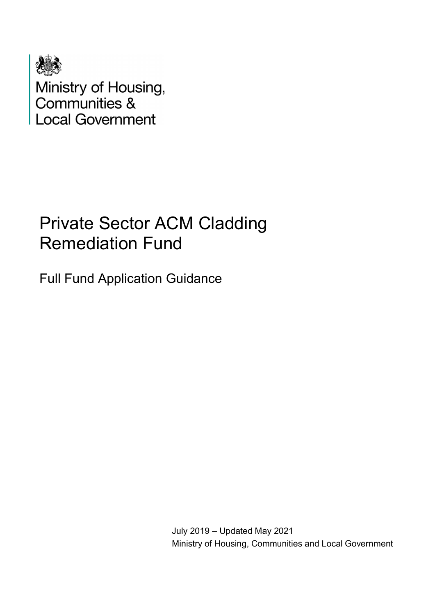

Ministry of Housing,<br>Communities &<br>Local Government

# Private Sector ACM Cladding Remediation Fund

Full Fund Application Guidance

July 2019 – Updated May 2021 Ministry of Housing, Communities and Local Government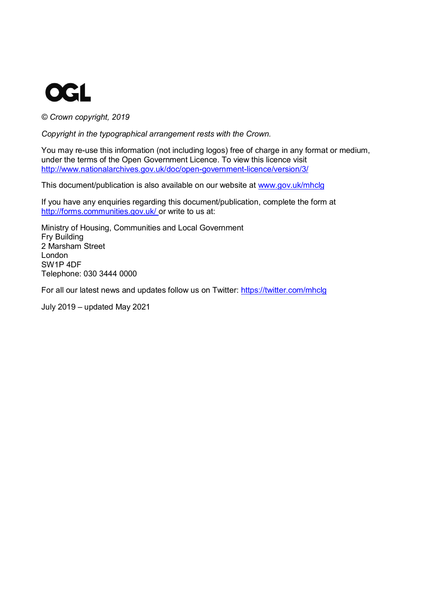

*© Crown copyright, 2019*

*Copyright in the typographical arrangement rests with the Crown.*

You may re-use this information (not including logos) free of charge in any format or medium, under the terms of the Open Government Licence. To view this licence visit <http://www.nationalarchives.gov.uk/doc/open-government-licence/version/3/>

This document/publication is also available on our website at [www.gov.uk/mhclg](http://www.gov.uk/mhclg)

If you have any enquiries regarding this document/publication, complete the form at <http://forms.communities.gov.uk/> or write to us at:

Ministry of Housing, Communities and Local Government Fry Building 2 Marsham Street London SW1P 4DF Telephone: 030 3444 0000

For all our latest news and updates follow us on Twitter: <https://twitter.com/mhclg>

July 2019 – updated May 2021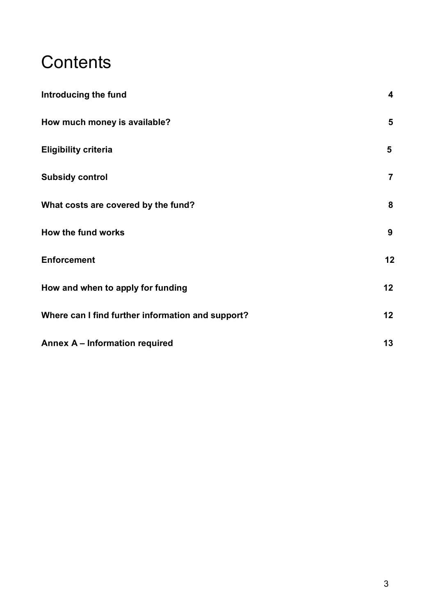# **Contents**

| Introducing the fund                              | $\overline{\mathbf{4}}$ |
|---------------------------------------------------|-------------------------|
| How much money is available?                      | $5\phantom{1}$          |
| <b>Eligibility criteria</b>                       | 5                       |
| <b>Subsidy control</b>                            | $\overline{7}$          |
| What costs are covered by the fund?               | 8                       |
| How the fund works                                | 9                       |
| <b>Enforcement</b>                                | 12                      |
| How and when to apply for funding                 | 12                      |
| Where can I find further information and support? | 12                      |
| Annex A - Information required                    | 13                      |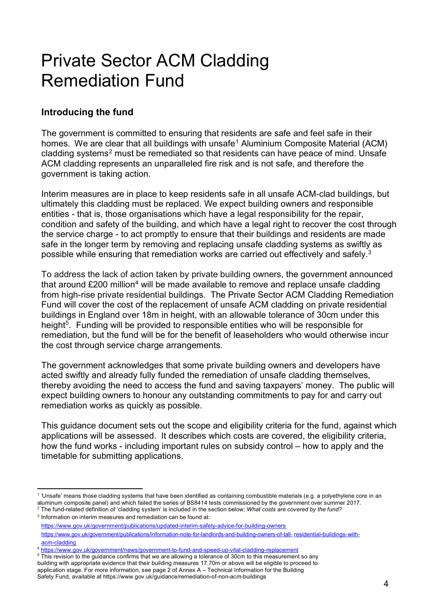# Private Sector ACM Cladding Remediation Fund

# **Introducing the fund**

The government is committed to ensuring that residents are safe and feel safe in their homes. We are clear that all buildings with unsafe<sup>[1](#page-3-0)</sup> Aluminium Composite Material (ACM) cladding systems<sup>[2](#page-3-1)</sup> must be remediated so that residents can have peace of mind. Unsafe ACM cladding represents an unparalleled fire risk and is not safe, and therefore the government is taking action.

Interim measures are in place to keep residents safe in all unsafe ACM-clad buildings, but ultimately this cladding must be replaced. We expect building owners and responsible entities - that is, those organisations which have a legal responsibility for the repair, condition and safety of the building, and which have a legal right to recover the cost through the service charge - to act promptly to ensure that their buildings and residents are made safe in the longer term by removing and replacing unsafe cladding systems as swiftly as possible while ensuring that remediation works are carried out effectively and safely.[3](#page-3-2)

To address the lack of action taken by private building owners, the government announced that around  $£200$  million<sup>[4](#page-3-3)</sup> will be made available to remove and replace unsafe cladding from high-rise private residential buildings. The Private Sector ACM Cladding Remediation Fund will cover the cost of the replacement of unsafe ACM cladding on private residential buildings in England over 18m in height, with an allowable tolerance of 30cm under this height<sup>[5](#page-3-4)</sup>. Funding will be provided to responsible entities who will be responsible for remediation, but the fund will be for the benefit of leaseholders who would otherwise incur the cost through service charge arrangements.

The government acknowledges that some private building owners and developers have acted swiftly and already fully funded the remediation of unsafe cladding themselves, thereby avoiding the need to access the fund and saving taxpayers' money. The public will expect building owners to honour any outstanding commitments to pay for and carry out remediation works as quickly as possible.

This guidance document sets out the scope and eligibility criteria for the fund, against which applications will be assessed. It describes which costs are covered, the eligibility criteria, how the fund works - including important rules on subsidy control – how to apply and the timetable for submitting applications.

<span id="page-3-0"></span><sup>1</sup> *'*Unsafe' means those cladding systems that have been identified as containing combustible materials (e.g. a polyethylene core in an <sup>2</sup> The fund-related definition of 'cladding system' is included in the section below; What costs are covered by the fund?

<span id="page-3-2"></span><span id="page-3-1"></span> $3$  Information on interim measures and remediation can be found at: <https://www.gov.uk/government/publications/updated-interim-safety-advice-for-building-owners> [https://www.gov.uk/government/publications/information-note-for-landlords-and-building-owners-of-tall-](https://www.gov.uk/government/publications/information-note-for-landlords-and-building-owners-of-tall-residential-buildings-with-acm-cladding) [residential-buildings-with](https://www.gov.uk/government/publications/information-note-for-landlords-and-building-owners-of-tall-residential-buildings-with-acm-cladding)[acm-cladding](https://www.gov.uk/government/publications/information-note-for-landlords-and-building-owners-of-tall-residential-buildings-with-acm-cladding)

<span id="page-3-3"></span><sup>4</sup> <https://www.gov.uk/government/news/government-to-fund-and-speed-up-vital-cladding-replacement>

<span id="page-3-4"></span><sup>&</sup>lt;sup>5</sup> This revision to the guidance confirms that we are allowing a tolerance of 30cm to this measurement so any building with appropriate evidence that their building measures 17.70m or above will be eligible to proceed to application stage. For more information, see page  $\tilde{2}$  of Annex A – Technical Information for the Building

Safety Fund, available at https://www.gov.uk/guidance/remediation-of-non-acm-buildings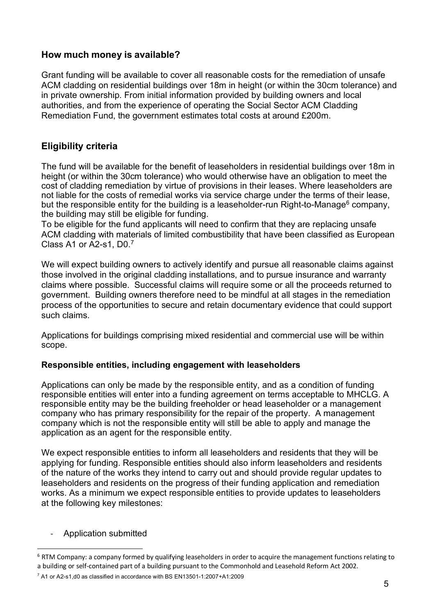#### **How much money is available?**

Grant funding will be available to cover all reasonable costs for the remediation of unsafe ACM cladding on residential buildings over 18m in height (or within the 30cm tolerance) and in private ownership. From initial information provided by building owners and local authorities, and from the experience of operating the Social Sector ACM Cladding Remediation Fund, the government estimates total costs at around £200m.

## **Eligibility criteria**

The fund will be available for the benefit of leaseholders in residential buildings over 18m in height (or within the 30cm tolerance) who would otherwise have an obligation to meet the cost of cladding remediation by virtue of provisions in their leases. Where leaseholders are not liable for the costs of remedial works via service charge under the terms of their lease, but the responsible entity for the building is a leaseholder-run Right-to-Manage<sup>[6](#page-4-0)</sup> company, the building may still be eligible for funding.

To be eligible for the fund applicants will need to confirm that they are replacing unsafe ACM cladding with materials of limited combustibility that have been classified as European Class A1 or A2-s1, D0. [7](#page-4-1)

We will expect building owners to actively identify and pursue all reasonable claims against those involved in the original cladding installations, and to pursue insurance and warranty claims where possible. Successful claims will require some or all the proceeds returned to government. Building owners therefore need to be mindful at all stages in the remediation process of the opportunities to secure and retain documentary evidence that could support such claims.

Applications for buildings comprising mixed residential and commercial use will be within scope.

#### **Responsible entities, including engagement with leaseholders**

Applications can only be made by the responsible entity, and as a condition of funding responsible entities will enter into a funding agreement on terms acceptable to MHCLG. A responsible entity may be the building freeholder or head leaseholder or a management company who has primary responsibility for the repair of the property. A management company which is not the responsible entity will still be able to apply and manage the application as an agent for the responsible entity.

We expect responsible entities to inform all leaseholders and residents that they will be applying for funding. Responsible entities should also inform leaseholders and residents of the nature of the works they intend to carry out and should provide regular updates to leaseholders and residents on the progress of their funding application and remediation works. As a minimum we expect responsible entities to provide updates to leaseholders at the following key milestones:

#### - Application submitted

<span id="page-4-0"></span> $6$  RTM Company: a company formed by qualifying leaseholders in order to acquire the management functions relating to a building or self-contained part of a building pursuant to the Commonhold and Leasehold Reform Act 2002.

<span id="page-4-1"></span> $7$  A1 or A2-s1,d0 as classified in accordance with BS EN13501-1:2007+A1:2009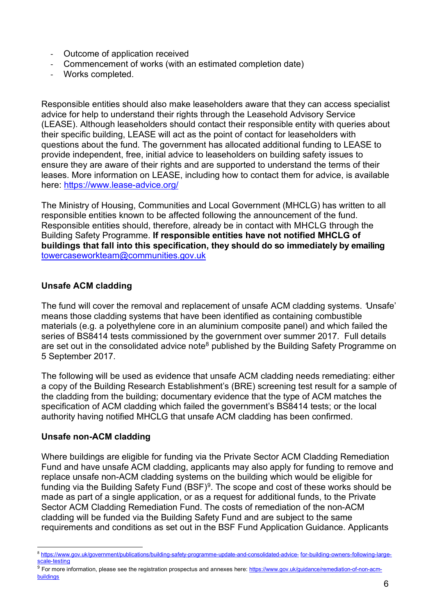- Outcome of application received
- Commencement of works (with an estimated completion date)
- Works completed.

Responsible entities should also make leaseholders aware that they can access specialist advice for help to understand their rights through the Leasehold Advisory Service (LEASE). Although leaseholders should contact their responsible entity with queries about their specific building, LEASE will act as the point of contact for leaseholders with questions about the fund. The government has allocated additional funding to LEASE to provide independent, free, initial advice to leaseholders on building safety issues to ensure they are aware of their rights and are supported to understand the terms of their leases. More information on LEASE, including how to contact them for advice, is available here:<https://www.lease-advice.org/>

The Ministry of Housing, Communities and Local Government (MHCLG) has written to all responsible entities known to be affected following the announcement of the fund. Responsible entities should, therefore, already be in contact with MHCLG through the Building Safety Programme. **If responsible entities have not notified MHCLG of buildings that fall into this specification, they should do so immediately by emailing** [towercaseworkteam@communities.gov.uk](mailto:towercaseworkteam@communities.gov.uk)

#### **Unsafe ACM cladding**

The fund will cover the removal and replacement of unsafe ACM cladding systems. *'*Unsafe' means those cladding systems that have been identified as containing combustible materials (e.g. a polyethylene core in an aluminium composite panel) and which failed the series of BS8414 tests commissioned by the government over summer 2017. Full details are set out in the consolidated advice note<sup>[8](#page-5-0)</sup> published by the Building Safety Programme on 5 September 2017.

The following will be used as evidence that unsafe ACM cladding needs remediating: either a copy of the Building Research Establishment's (BRE) screening test result for a sample of the cladding from the building; documentary evidence that the type of ACM matches the specification of ACM cladding which failed the government's BS8414 tests; or the local authority having notified MHCLG that unsafe ACM cladding has been confirmed.

#### **Unsafe non-ACM cladding**

Where buildings are eligible for funding via the Private Sector ACM Cladding Remediation Fund and have unsafe ACM cladding, applicants may also apply for funding to remove and replace unsafe non-ACM cladding systems on the building which would be eligible for funding via the Building Safety Fund (BSF)<sup>[9](#page-5-1)</sup>. The scope and cost of these works should be made as part of a single application, or as a request for additional funds, to the Private Sector ACM Cladding Remediation Fund. The costs of remediation of the non-ACM cladding will be funded via the Building Safety Fund and are subject to the same requirements and conditions as set out in the BSF Fund Application Guidance. Applicants

<span id="page-5-0"></span><sup>8</sup> [https://www.gov.uk/government/publications/building-safety-programme-update-and-consolidated-advice-](https://www.gov.uk/government/publications/building-safety-programme-update-and-consolidated-advice-for-building-owners-following-large-scale-testing) [for-building-owners-following-large](https://www.gov.uk/government/publications/building-safety-programme-update-and-consolidated-advice-for-building-owners-following-large-scale-testing)[scale-testing](https://www.gov.uk/government/publications/building-safety-programme-update-and-consolidated-advice-for-building-owners-following-large-scale-testing)

<span id="page-5-1"></span><sup>&</sup>lt;sup>9</sup> For more information, please see the registration prospectus and annexes here: <u>https://www.gov.uk/guidance/remediation-of-non-acm-</u> **buildings**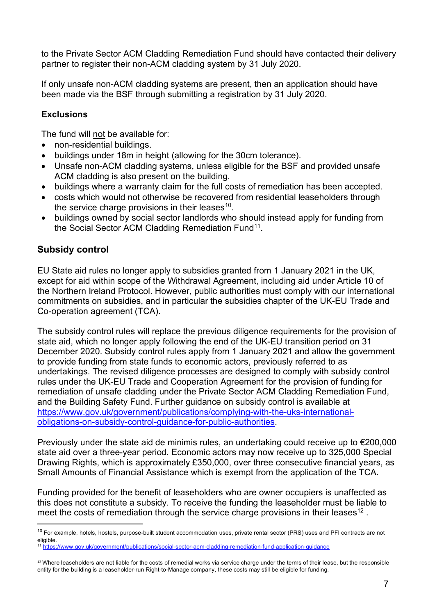to the Private Sector ACM Cladding Remediation Fund should have contacted their delivery partner to register their non-ACM cladding system by 31 July 2020.

If only unsafe non-ACM cladding systems are present, then an application should have been made via the BSF through submitting a registration by 31 July 2020.

## **Exclusions**

The fund will not be available for:

- non-residential buildings.
- buildings under 18m in height (allowing for the 30cm tolerance).
- Unsafe non-ACM cladding systems, unless eligible for the BSF and provided unsafe ACM cladding is also present on the building.
- buildings where a warranty claim for the full costs of remediation has been accepted.
- costs which would not otherwise be recovered from residential leaseholders through the service charge provisions in their leases  $10$ .
- buildings owned by social sector landlords who should instead apply for funding from the Social Sector ACM Cladding Remediation Fund<sup>11</sup>.

## **Subsidy control**

EU State aid rules no longer apply to subsidies granted from 1 January 2021 in the UK, except for aid within scope of the Withdrawal Agreement, including aid under Article 10 of the Northern Ireland Protocol. However, public authorities must comply with our international commitments on subsidies, and in particular the subsidies chapter of the UK-EU Trade and Co-operation agreement (TCA).

The subsidy control rules will replace the previous diligence requirements for the provision of state aid, which no longer apply following the end of the UK-EU transition period on 31 December 2020. Subsidy control rules apply from 1 January 2021 and allow the government to provide funding from state funds to economic actors, previously referred to as undertakings. The revised diligence processes are designed to comply with subsidy control rules under the UK-EU Trade and Cooperation Agreement for the provision of funding for remediation of unsafe cladding under the Private Sector ACM Cladding Remediation Fund, and the Building Safety Fund. Further guidance on subsidy control is available at [https://www.gov.uk/government/publications/complying-with-the-uks-international](https://www.gov.uk/government/publications/complying-with-the-uks-international-obligations-on-subsidy-control-guidance-for-public-authorities)[obligations-on-subsidy-control-guidance-for-public-authorities.](https://www.gov.uk/government/publications/complying-with-the-uks-international-obligations-on-subsidy-control-guidance-for-public-authorities)

Previously under the state aid de minimis rules, an undertaking could receive up to €200,000 state aid over a three-year period. Economic actors may now receive up to 325,000 Special Drawing Rights, which is approximately £350,000, over three consecutive financial years, as Small Amounts of Financial Assistance which is exempt from the application of the TCA.

Funding provided for the benefit of leaseholders who are owner occupiers is unaffected as this does not constitute a subsidy. To receive the funding the leaseholder must be liable to meet the costs of remediation through the service charge provisions in their leases<sup>[12](#page-6-2)</sup>.

<span id="page-6-0"></span><sup>&</sup>lt;sup>10</sup> For example, hotels, hostels, purpose-built student accommodation uses, private rental sector (PRS) uses and PFI contracts are not eligible.

<span id="page-6-1"></span><sup>11</sup> <https://www.gov.uk/government/publications/social-sector-acm-cladding-remediation-fund-application-guidance>

<span id="page-6-2"></span><sup>&</sup>lt;sup>12</sup> Where leaseholders are not liable for the costs of remedial works via service charge under the terms of their lease, but the responsible entity for the building is a leaseholder-run Right-to-Manage company, these costs may still be eligible for funding.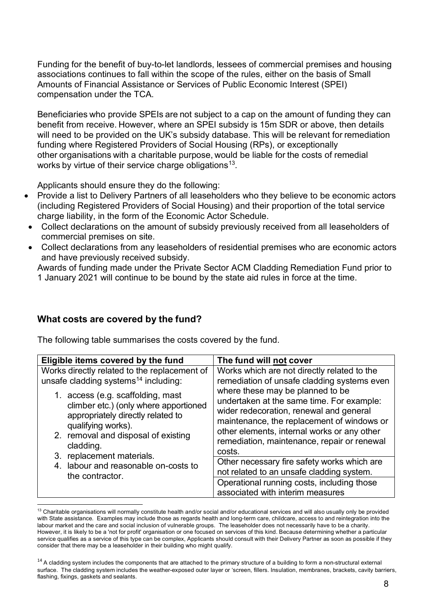Funding for the benefit of buy-to-let landlords, lessees of commercial premises and housing associations continues to fall within the scope of the rules, either on the basis of Small Amounts of Financial Assistance or Services of Public Economic Interest (SPEI) compensation under the TCA.

Beneficiaries who provide SPEIs are not subject to a cap on the amount of funding they can benefit from receive. However, where an SPEI subsidy is 15m SDR or above, then details will need to be provided on the UK's subsidy database. This will be relevant for remediation funding where Registered Providers of Social Housing (RPs), or exceptionally other organisations with a charitable purpose, would be liable for the costs of remedial works by virtue of their service charge obligations<sup>[13](#page-7-0)</sup>.

Applicants should ensure they do the following:

- Provide a list to Delivery Partners of all leaseholders who they believe to be economic actors (including Registered Providers of Social Housing) and their proportion of the total service charge liability, in the form of the Economic Actor Schedule.
- Collect declarations on the amount of subsidy previously received from all leaseholders of commercial premises on site.
- Collect declarations from any leaseholders of residential premises who are economic actors and have previously received subsidy.

Awards of funding made under the Private Sector ACM Cladding Remediation Fund prior to 1 January 2021 will continue to be bound by the state aid rules in force at the time.

## **What costs are covered by the fund?**

The following table summarises the costs covered by the fund.

| Eligible items covered by the fund               | The fund will not cover                                                        |
|--------------------------------------------------|--------------------------------------------------------------------------------|
| Works directly related to the replacement of     | Works which are not directly related to the                                    |
| unsafe cladding systems <sup>14</sup> including: | remediation of unsafe cladding systems even                                    |
| 1. access (e.g. scaffolding, mast                | where these may be planned to be                                               |
| climber etc.) (only where apportioned            | undertaken at the same time. For example:                                      |
| appropriately directly related to                | wider redecoration, renewal and general                                        |
| qualifying works).                               | maintenance, the replacement of windows or                                     |
| 2. removal and disposal of existing              | other elements, internal works or any other                                    |
| cladding.                                        | remediation, maintenance, repair or renewal                                    |
| 3. replacement materials.                        | costs.                                                                         |
| 4. labour and reasonable on-costs to             | Other necessary fire safety works which are                                    |
| the contractor.                                  | not related to an unsafe cladding system.                                      |
|                                                  | Operational running costs, including those<br>associated with interim measures |

<span id="page-7-0"></span> $13$  Charitable organisations will normally constitute health and/or social and/or educational services and will also usually only be provided with State assistance. Examples may include those as regards health and long-term care, childcare, access to and reintegration into the labour market and the care and social inclusion of vulnerable groups. The leaseholder does not necessarily have to be a charity. However, it is likely to be a 'not for profit' organisation or one focused on services of this kind. Because determining whether a particular service qualifies as a service of this type can be complex, Applicants should consult with their Delivery Partner as soon as possible if they consider that there may be a leaseholder in their building who might qualify.

<span id="page-7-1"></span><sup>&</sup>lt;sup>14</sup> A cladding system includes the components that are attached to the primary structure of a building to form a non-structural external surface. The cladding system includes the weather-exposed outer layer or 'screen, fillers. Insulation, membranes, brackets, cavity barriers, flashing, fixings, gaskets and sealants.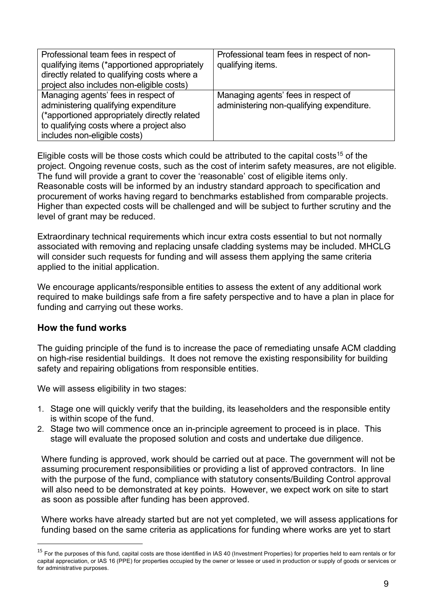| Professional team fees in respect of<br>qualifying items (*apportioned appropriately<br>directly related to qualifying costs where a<br>project also includes non-eligible costs)                       | Professional team fees in respect of non-<br>qualifying items.                   |
|---------------------------------------------------------------------------------------------------------------------------------------------------------------------------------------------------------|----------------------------------------------------------------------------------|
| Managing agents' fees in respect of<br>administering qualifying expenditure<br>(*apportioned appropriately directly related<br>to qualifying costs where a project also<br>includes non-eligible costs) | Managing agents' fees in respect of<br>administering non-qualifying expenditure. |

Eligible costs will be those costs which could be attributed to the capital costs<sup>[15](#page-8-0)</sup> of the project. Ongoing revenue costs, such as the cost of interim safety measures, are not eligible. The fund will provide a grant to cover the 'reasonable' cost of eligible items only. Reasonable costs will be informed by an industry standard approach to specification and procurement of works having regard to benchmarks established from comparable projects. Higher than expected costs will be challenged and will be subject to further scrutiny and the level of grant may be reduced.

Extraordinary technical requirements which incur extra costs essential to but not normally associated with removing and replacing unsafe cladding systems may be included. MHCLG will consider such requests for funding and will assess them applying the same criteria applied to the initial application.

We encourage applicants/responsible entities to assess the extent of any additional work required to make buildings safe from a fire safety perspective and to have a plan in place for funding and carrying out these works.

#### **How the fund works**

The guiding principle of the fund is to increase the pace of remediating unsafe ACM cladding on high-rise residential buildings. It does not remove the existing responsibility for building safety and repairing obligations from responsible entities.

We will assess eligibility in two stages:

- 1. Stage one will quickly verify that the building, its leaseholders and the responsible entity is within scope of the fund.
- 2. Stage two will commence once an in-principle agreement to proceed is in place. This stage will evaluate the proposed solution and costs and undertake due diligence.

Where funding is approved, work should be carried out at pace. The government will not be assuming procurement responsibilities or providing a list of approved contractors. In line with the purpose of the fund, compliance with statutory consents/Building Control approval will also need to be demonstrated at key points. However, we expect work on site to start as soon as possible after funding has been approved.

Where works have already started but are not yet completed, we will assess applications for funding based on the same criteria as applications for funding where works are yet to start

<span id="page-8-0"></span><sup>&</sup>lt;sup>15</sup> For the purposes of this fund, capital costs are those identified in IAS 40 (Investment Properties) for properties held to earn rentals or for capital appreciation, or IAS 16 (PPE) for properties occupied by the owner or lessee or used in production or supply of goods or services or for administrative purposes.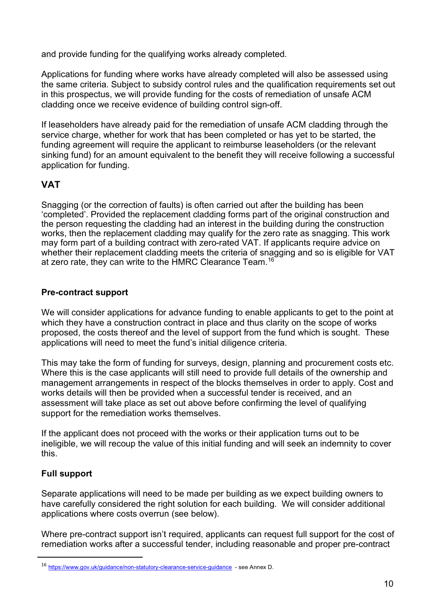and provide funding for the qualifying works already completed.

Applications for funding where works have already completed will also be assessed using the same criteria. Subject to subsidy control rules and the qualification requirements set out in this prospectus, we will provide funding for the costs of remediation of unsafe ACM cladding once we receive evidence of building control sign-off.

If leaseholders have already paid for the remediation of unsafe ACM cladding through the service charge, whether for work that has been completed or has yet to be started, the funding agreement will require the applicant to reimburse leaseholders (or the relevant sinking fund) for an amount equivalent to the benefit they will receive following a successful application for funding.

# **VAT**

Snagging (or the correction of faults) is often carried out after the building has been 'completed'. Provided the replacement cladding forms part of the original construction and the person requesting the cladding had an interest in the building during the construction works, then the replacement cladding may qualify for the zero rate as snagging. This work may form part of a building contract with zero-rated VAT. If applicants require advice on whether their replacement cladding meets the criteria of snagging and so is eligible for VAT at zero rate, they can write to the HMRC Clearance Team.<sup>[16](#page-9-0)</sup>

#### **Pre-contract support**

We will consider applications for advance funding to enable applicants to get to the point at which they have a construction contract in place and thus clarity on the scope of works proposed, the costs thereof and the level of support from the fund which is sought. These applications will need to meet the fund's initial diligence criteria.

This may take the form of funding for surveys, design, planning and procurement costs etc. Where this is the case applicants will still need to provide full details of the ownership and management arrangements in respect of the blocks themselves in order to apply. Cost and works details will then be provided when a successful tender is received, and an assessment will take place as set out above before confirming the level of qualifying support for the remediation works themselves.

If the applicant does not proceed with the works or their application turns out to be ineligible, we will recoup the value of this initial funding and will seek an indemnity to cover this.

## **Full support**

Separate applications will need to be made per building as we expect building owners to have carefully considered the right solution for each building. We will consider additional applications where costs overrun (see below).

Where pre-contract support isn't required, applicants can request full support for the cost of remediation works after a successful tender, including reasonable and proper pre-contract

<span id="page-9-0"></span><sup>16</sup> [https://www.gov.uk/guidance/non-statutory-clearance-service-guidance](https://gbr01.safelinks.protection.outlook.com/?url=https%3A%2F%2Fwww.gov.uk%2Fguidance%2Fnon-statutory-clearance-service-guidance&data=02%7C01%7CDouglas.Taylor%40communities.gov.uk%7C4e24f05a733a4f223bbc08d6f95d7409%7Cbf3468109c7d43dea87224a2ef3995a8%7C0%7C0%7C636970577129408387&sdata=qK6cIf599%2BFHoOjDIo6voDSb4eWabh0WgrJBiVNoDys%3D&reserved=0) - see Annex D.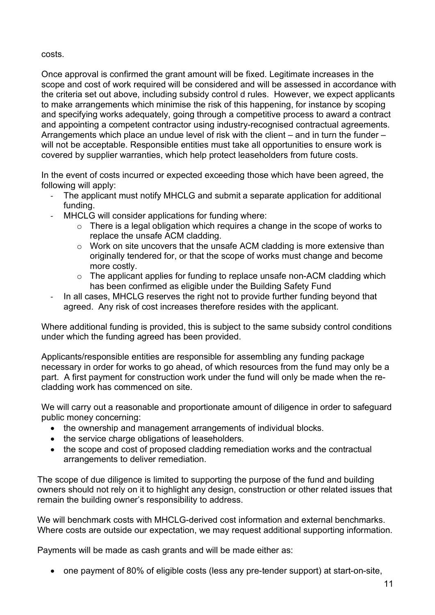costs.

Once approval is confirmed the grant amount will be fixed. Legitimate increases in the scope and cost of work required will be considered and will be assessed in accordance with the criteria set out above, including subsidy control d rules. However, we expect applicants to make arrangements which minimise the risk of this happening, for instance by scoping and specifying works adequately, going through a competitive process to award a contract and appointing a competent contractor using industry-recognised contractual agreements. Arrangements which place an undue level of risk with the client – and in turn the funder – will not be acceptable. Responsible entities must take all opportunities to ensure work is covered by supplier warranties, which help protect leaseholders from future costs.

In the event of costs incurred or expected exceeding those which have been agreed, the following will apply:

- The applicant must notify MHCLG and submit a separate application for additional funding.
- MHCLG will consider applications for funding where:
	- $\circ$  There is a legal obligation which requires a change in the scope of works to replace the unsafe ACM cladding.
	- o Work on site uncovers that the unsafe ACM cladding is more extensive than originally tendered for, or that the scope of works must change and become more costly.
	- $\circ$  The applicant applies for funding to replace unsafe non-ACM cladding which has been confirmed as eligible under the Building Safety Fund
- In all cases, MHCLG reserves the right not to provide further funding beyond that agreed. Any risk of cost increases therefore resides with the applicant.

Where additional funding is provided, this is subject to the same subsidy control conditions under which the funding agreed has been provided.

Applicants/responsible entities are responsible for assembling any funding package necessary in order for works to go ahead, of which resources from the fund may only be a part. A first payment for construction work under the fund will only be made when the recladding work has commenced on site.

We will carry out a reasonable and proportionate amount of diligence in order to safeguard public money concerning:

- the ownership and management arrangements of individual blocks.
- the service charge obligations of leaseholders.
- the scope and cost of proposed cladding remediation works and the contractual arrangements to deliver remediation.

The scope of due diligence is limited to supporting the purpose of the fund and building owners should not rely on it to highlight any design, construction or other related issues that remain the building owner's responsibility to address.

We will benchmark costs with MHCLG-derived cost information and external benchmarks. Where costs are outside our expectation, we may request additional supporting information.

Payments will be made as cash grants and will be made either as:

• one payment of 80% of eligible costs (less any pre-tender support) at start-on-site,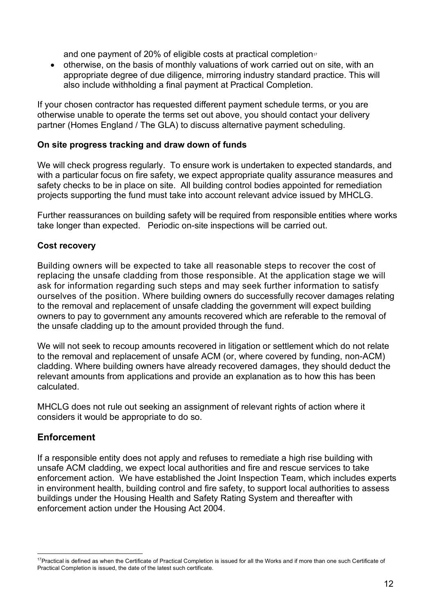and one payment of 20% of eligible costs at practical completion $\mathbb{F}$ 

• otherwise, on the basis of monthly valuations of work carried out on site, with an appropriate degree of due diligence, mirroring industry standard practice. This will also include withholding a final payment at Practical Completion.

If your chosen contractor has requested different payment schedule terms, or you are otherwise unable to operate the terms set out above, you should contact your delivery partner (Homes England / The GLA) to discuss alternative payment scheduling.

#### **On site progress tracking and draw down of funds**

We will check progress regularly. To ensure work is undertaken to expected standards, and with a particular focus on fire safety, we expect appropriate quality assurance measures and safety checks to be in place on site. All building control bodies appointed for remediation projects supporting the fund must take into account relevant advice issued by MHCLG.

Further reassurances on building safety will be required from responsible entities where works take longer than expected. Periodic on-site inspections will be carried out.

#### **Cost recovery**

Building owners will be expected to take all reasonable steps to recover the cost of replacing the unsafe cladding from those responsible. At the application stage we will ask for information regarding such steps and may seek further information to satisfy ourselves of the position. Where building owners do successfully recover damages relating to the removal and replacement of unsafe cladding the government will expect building owners to pay to government any amounts recovered which are referable to the removal of the unsafe cladding up to the amount provided through the fund.

We will not seek to recoup amounts recovered in litigation or settlement which do not relate to the removal and replacement of unsafe ACM (or, where covered by funding, non-ACM) cladding. Where building owners have already recovered damages, they should deduct the relevant amounts from applications and provide an explanation as to how this has been calculated.

MHCLG does not rule out seeking an assignment of relevant rights of action where it considers it would be appropriate to do so.

## **Enforcement**

If a responsible entity does not apply and refuses to remediate a high rise building with unsafe ACM cladding, we expect local authorities and fire and rescue services to take enforcement action. We have established the Joint Inspection Team, which includes experts in environment health, building control and fire safety, to support local authorities to assess buildings under the Housing Health and Safety Rating System and thereafter with enforcement action under the Housing Act 2004.

<span id="page-11-0"></span><sup>&</sup>lt;sup>17</sup>Practical is defined as when the Certificate of Practical Completion is issued for all the Works and if more than one such Certificate of Practical Completion is issued, the date of the latest such certificate.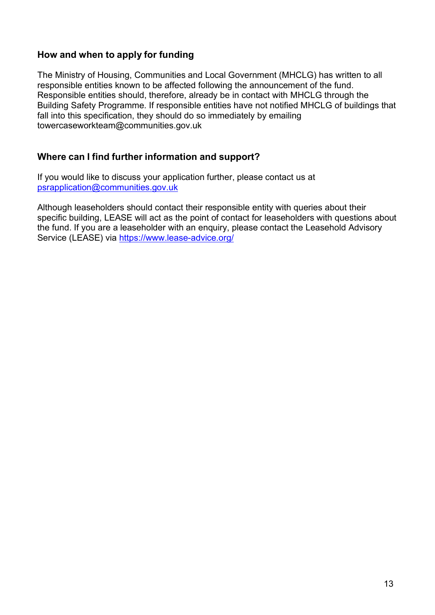## **How and when to apply for funding**

The Ministry of Housing, Communities and Local Government (MHCLG) has written to all responsible entities known to be affected following the announcement of the fund. Responsible entities should, therefore, already be in contact with MHCLG through the Building Safety Programme. If responsible entities have not notified MHCLG of buildings that fall into this specification, they should do so immediately by emailing towercaseworkteam@communities.gov.uk

# **Where can I find further information and support?**

If you would like to discuss your application further, please contact us at [psrapplication@communities.gov.uk](mailto:psrapplication@communities.gov.uk)

Although leaseholders should contact their responsible entity with queries about their specific building, LEASE will act as the point of contact for leaseholders with questions about the fund. If you are a leaseholder with an enquiry, please contact the Leasehold Advisory Service (LEASE) via<https://www.lease-advice.org/>